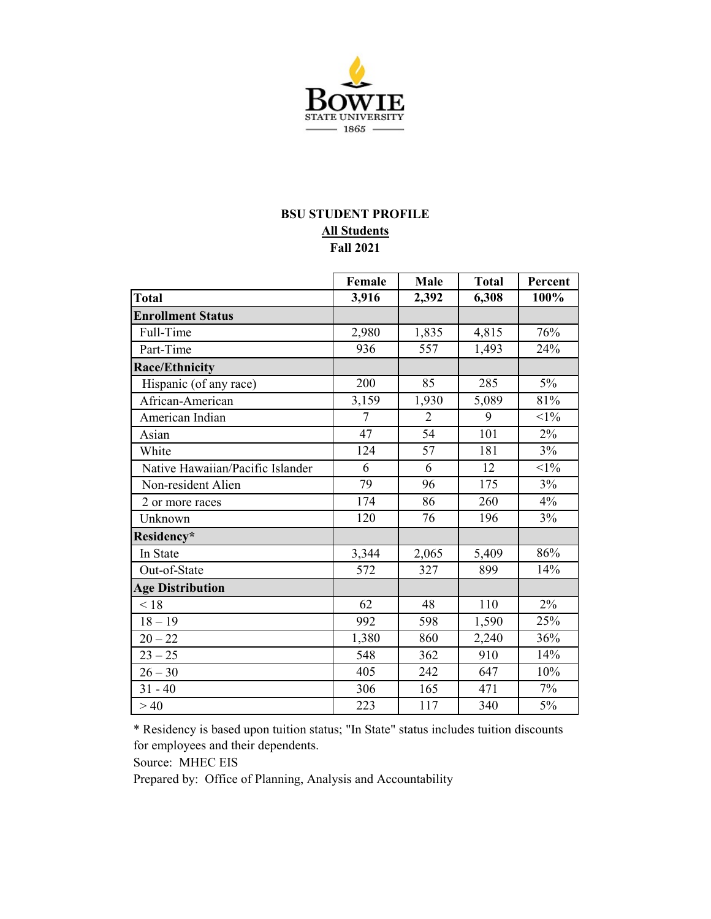

## **BSU STUDENT PROFILE Fall 2021 All Students**

|                                  | Female         | Male           | <b>Total</b> | Percent |
|----------------------------------|----------------|----------------|--------------|---------|
| <b>Total</b>                     | 3,916          | 2,392          | 6,308        | 100%    |
| <b>Enrollment Status</b>         |                |                |              |         |
| Full-Time                        | 2,980          | 1,835          | 4,815        | 76%     |
| Part-Time                        | 936            | 557            | 1,493        | 24%     |
| <b>Race/Ethnicity</b>            |                |                |              |         |
| Hispanic (of any race)           | 200            | 85             | 285          | 5%      |
| African-American                 | 3,159          | 1,930          | 5,089        | 81%     |
| American Indian                  | $\overline{7}$ | $\overline{2}$ | 9            | $<1\%$  |
| Asian                            | 47             | 54             | 101          | 2%      |
| White                            | 124            | 57             | 181          | 3%      |
| Native Hawaiian/Pacific Islander | 6              | 6              | 12           | $<1\%$  |
| Non-resident Alien               | 79             | 96             | 175          | 3%      |
| 2 or more races                  | 174            | 86             | 260          | 4%      |
| Unknown                          | 120            | 76             | 196          | 3%      |
| Residency*                       |                |                |              |         |
| In State                         | 3,344          | 2,065          | 5,409        | 86%     |
| Out-of-State                     | 572            | 327            | 899          | 14%     |
| <b>Age Distribution</b>          |                |                |              |         |
| < 18                             | 62             | 48             | 110          | 2%      |
| $18 - 19$                        | 992            | 598            | 1,590        | 25%     |
| $20 - 22$                        | 1,380          | 860            | 2,240        | 36%     |
| $23 - 25$                        | 548            | 362            | 910          | 14%     |
| $26 - 30$                        | 405            | 242            | 647          | 10%     |
| $31 - 40$                        | 306            | 165            | 471          | 7%      |
| >40                              | 223            | 117            | 340          | 5%      |

\* Residency is based upon tuition status; "In State" status includes tuition discounts for employees and their dependents.

Source: MHEC EIS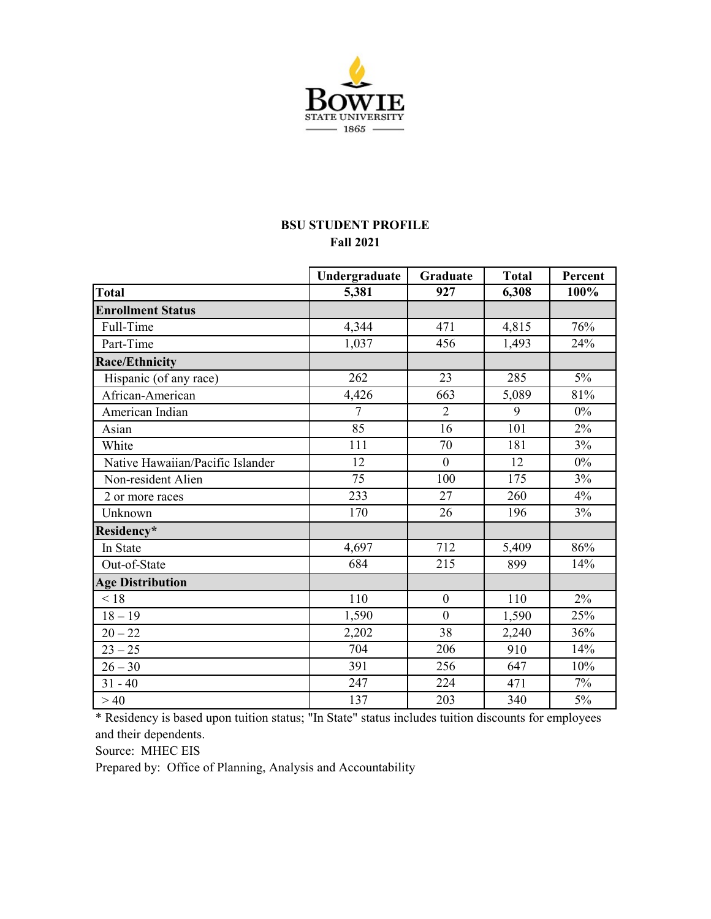

## **BSU STUDENT PROFILE Fall 2021**

|                                  | Undergraduate  | Graduate         | <b>Total</b> | Percent |
|----------------------------------|----------------|------------------|--------------|---------|
| <b>Total</b>                     | 5,381          | 927              | 6,308        | 100%    |
| <b>Enrollment Status</b>         |                |                  |              |         |
| Full-Time                        | 4,344          | 471              | 4,815        | 76%     |
| Part-Time                        | 1,037          | 456              | 1,493        | 24%     |
| <b>Race/Ethnicity</b>            |                |                  |              |         |
| Hispanic (of any race)           | 262            | 23               | 285          | 5%      |
| African-American                 | 4,426          | 663              | 5,089        | 81%     |
| American Indian                  | $\overline{7}$ | $\overline{2}$   | 9            | 0%      |
| Asian                            | 85             | 16               | 101          | 2%      |
| White                            | 111            | 70               | 181          | 3%      |
| Native Hawaiian/Pacific Islander | 12             | $\boldsymbol{0}$ | 12           | $0\%$   |
| Non-resident Alien               | 75             | 100              | 175          | 3%      |
| 2 or more races                  | 233            | 27               | 260          | 4%      |
| Unknown                          | 170            | 26               | 196          | 3%      |
| Residency*                       |                |                  |              |         |
| In State                         | 4,697          | 712              | 5,409        | 86%     |
| Out-of-State                     | 684            | 215              | 899          | 14%     |
| <b>Age Distribution</b>          |                |                  |              |         |
| < 18                             | 110            | $\boldsymbol{0}$ | 110          | 2%      |
| $18 - 19$                        | 1,590          | $\mathbf{0}$     | 1,590        | 25%     |
| $20 - 22$                        | 2,202          | 38               | 2,240        | 36%     |
| $23 - 25$                        | 704            | 206              | 910          | 14%     |
| $26 - 30$                        | 391            | 256              | 647          | 10%     |
| $31 - 40$                        | 247            | 224              | 471          | 7%      |
| >40                              | 137            | 203              | 340          | 5%      |

\* Residency is based upon tuition status; "In State" status includes tuition discounts for employees and their dependents.

Source: MHEC EIS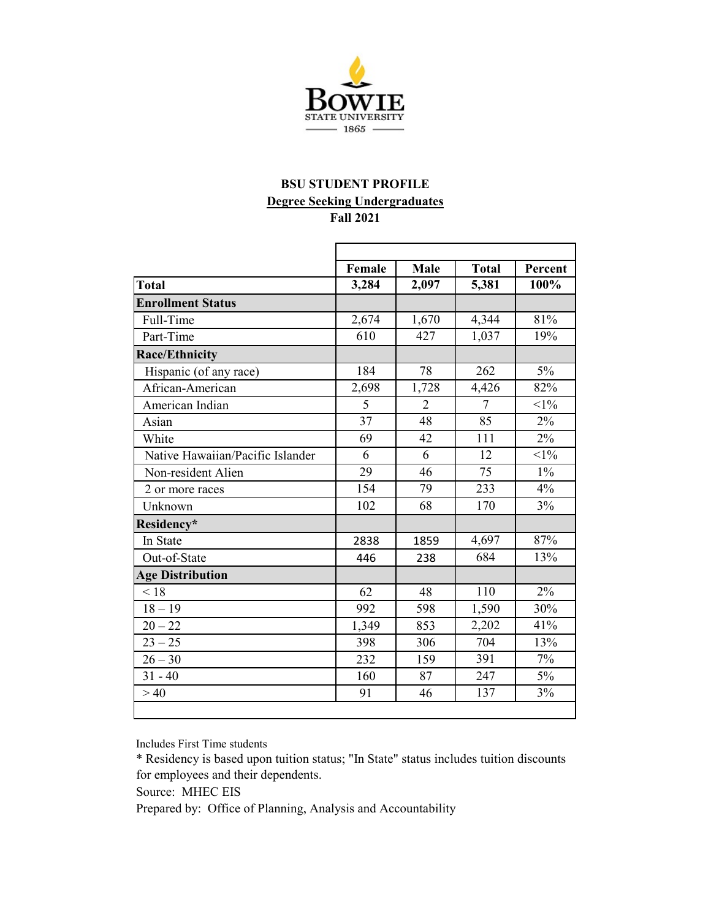

# **BSU STUDENT PROFILE Degree Seeking Undergraduates**

**Fall 2021**

|                                  | Female | <b>Male</b> | <b>Total</b> | Percent |
|----------------------------------|--------|-------------|--------------|---------|
| <b>Total</b>                     | 3,284  | 2,097       | 5,381        | 100%    |
| <b>Enrollment Status</b>         |        |             |              |         |
| Full-Time                        | 2,674  | 1,670       | 4,344        | 81%     |
| Part-Time                        | 610    | 427         | 1,037        | 19%     |
| <b>Race/Ethnicity</b>            |        |             |              |         |
| Hispanic (of any race)           | 184    | 78          | 262          | 5%      |
| African-American                 | 2,698  | 1,728       | 4,426        | 82%     |
| American Indian                  | 5      | 2           | 7            | $<1\%$  |
| Asian                            | 37     | 48          | 85           | $2\%$   |
| White                            | 69     | 42          | 111          | 2%      |
| Native Hawaiian/Pacific Islander | 6      | 6           | 12           | $<1\%$  |
| Non-resident Alien               | 29     | 46          | 75           | $1\%$   |
| 2 or more races                  | 154    | 79          | 233          | 4%      |
| Unknown                          | 102    | 68          | 170          | 3%      |
| Residency*                       |        |             |              |         |
| In State                         | 2838   | 1859        | 4,697        | 87%     |
| Out-of-State                     | 446    | 238         | 684          | 13%     |
| <b>Age Distribution</b>          |        |             |              |         |
| < 18                             | 62     | 48          | 110          | 2%      |
| $18 - 19$                        | 992    | 598         | 1,590        | 30%     |
| $20 - 22$                        | 1,349  | 853         | 2,202        | 41%     |
| $23 - 25$                        | 398    | 306         | 704          | 13%     |
| $26 - 30$                        | 232    | 159         | 391          | 7%      |
| $31 - 40$                        | 160    | 87          | 247          | $5\%$   |
| >40                              | 91     | 46          | 137          | 3%      |

Includes First Time students

\* Residency is based upon tuition status; "In State" status includes tuition discounts for employees and their dependents.

Source: MHEC EIS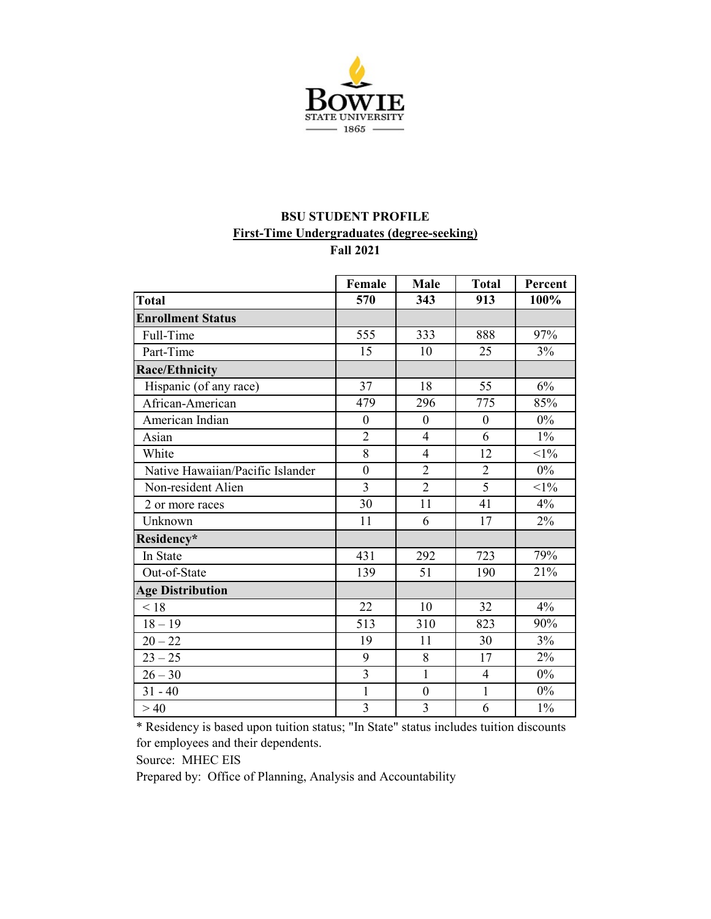

#### **BSU STUDENT PROFILE First-Time Undergraduates (degree-seeking) Fall 2021**

|                                  | Female                  | Male             | <b>Total</b>     | Percent |
|----------------------------------|-------------------------|------------------|------------------|---------|
| <b>Total</b>                     | 570                     | 343              | 913              | 100%    |
| <b>Enrollment Status</b>         |                         |                  |                  |         |
| Full-Time                        | 555                     | 333              | 888              | 97%     |
| Part-Time                        | 15                      | 10               | 25               | 3%      |
| <b>Race/Ethnicity</b>            |                         |                  |                  |         |
| Hispanic (of any race)           | 37                      | 18               | 55               | 6%      |
| African-American                 | 479                     | 296              | 775              | 85%     |
| American Indian                  | $\overline{0}$          | $\mathbf{0}$     | $\boldsymbol{0}$ | $0\%$   |
| Asian                            | $\overline{2}$          | $\overline{4}$   | 6                | $1\%$   |
| White                            | 8                       | $\overline{4}$   | 12               | $<1\%$  |
| Native Hawaiian/Pacific Islander | $\mathbf{0}$            | $\overline{2}$   | $\overline{2}$   | $0\%$   |
| Non-resident Alien               | $\overline{3}$          | $\overline{2}$   | $\overline{5}$   | $<1\%$  |
| 2 or more races                  | 30                      | 11               | 41               | 4%      |
| Unknown                          | 11                      | 6                | 17               | 2%      |
| Residency*                       |                         |                  |                  |         |
| In State                         | 431                     | 292              | 723              | 79%     |
| Out-of-State                     | 139                     | 51               | 190              | 21%     |
| <b>Age Distribution</b>          |                         |                  |                  |         |
| < 18                             | 22                      | 10               | 32               | 4%      |
| $18 - 19$                        | 513                     | 310              | 823              | 90%     |
| $20 - 22$                        | 19                      | 11               | 30               | 3%      |
| $23 - 25$                        | 9                       | 8                | 17               | 2%      |
| $26 - 30$                        | $\overline{3}$          | $\mathbf{1}$     | $\overline{4}$   | $0\%$   |
| $31 - 40$                        | $\mathbf{1}$            | $\boldsymbol{0}$ | $\mathbf{1}$     | $0\%$   |
| >40                              | $\overline{\mathbf{3}}$ | 3                | 6                | $1\%$   |

\* Residency is based upon tuition status; "In State" status includes tuition discounts for employees and their dependents.

Source: MHEC EIS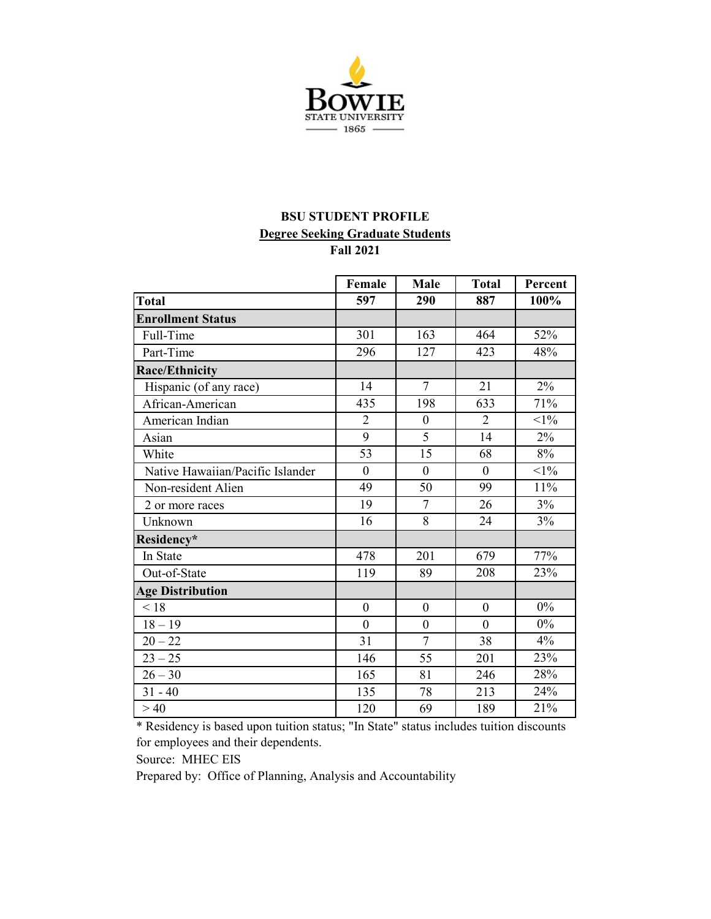

## **BSU STUDENT PROFILE Degree Seeking Graduate Students Fall 2021**

|                                  | Female         | Male             | <b>Total</b>   | Percent |
|----------------------------------|----------------|------------------|----------------|---------|
| Total                            | 597            | 290              | 887            | 100%    |
| <b>Enrollment Status</b>         |                |                  |                |         |
| Full-Time                        | 301            | 163              | 464            | 52%     |
| Part-Time                        | 296            | 127              | 423            | 48%     |
| <b>Race/Ethnicity</b>            |                |                  |                |         |
| Hispanic (of any race)           | 14             | $\overline{7}$   | 21             | 2%      |
| African-American                 | 435            | 198              | 633            | 71%     |
| American Indian                  | $\overline{2}$ | $\mathbf{0}$     | $\overline{2}$ | $<1\%$  |
| Asian                            | 9              | 5                | 14             | $2\%$   |
| White                            | 53             | 15               | 68             | 8%      |
| Native Hawaiian/Pacific Islander | $\theta$       | $\theta$         | $\theta$       | $<1\%$  |
| Non-resident Alien               | 49             | 50               | 99             | 11%     |
| 2 or more races                  | 19             | 7                | 26             | 3%      |
| Unknown                          | 16             | 8                | 24             | 3%      |
| Residency*                       |                |                  |                |         |
| In State                         | 478            | 201              | 679            | 77%     |
| Out-of-State                     | 119            | 89               | 208            | 23%     |
| <b>Age Distribution</b>          |                |                  |                |         |
| < 18                             | $\overline{0}$ | $\mathbf{0}$     | $\theta$       | $0\%$   |
| $18 - 19$                        | $\mathbf{0}$   | $\boldsymbol{0}$ | $\mathbf{0}$   | $0\%$   |
| $20 - 22$                        | 31             | 7                | 38             | 4%      |
| $23 - 25$                        | 146            | 55               | 201            | 23%     |
| $26 - 30$                        | 165            | 81               | 246            | 28%     |
| $31 - 40$                        | 135            | 78               | 213            | 24%     |
| >40                              | 120            | 69               | 189            | 21%     |

\* Residency is based upon tuition status; "In State" status includes tuition discounts for employees and their dependents.

Source: MHEC EIS